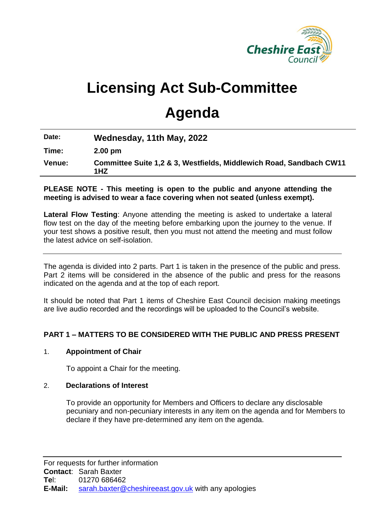

# **Licensing Act Sub-Committee**

# **Agenda**

| Date:  | Wednesday, 11th May, 2022                                                  |
|--------|----------------------------------------------------------------------------|
| Time:  | $2.00 \text{ pm}$                                                          |
| Venue: | Committee Suite 1,2 & 3, Westfields, Middlewich Road, Sandbach CW11<br>1HZ |

## **PLEASE NOTE - This meeting is open to the public and anyone attending the meeting is advised to wear a face covering when not seated (unless exempt).**

**Lateral Flow Testing**: Anyone attending the meeting is asked to undertake a lateral flow test on the day of the meeting before embarking upon the journey to the venue. If your test shows a positive result, then you must not attend the meeting and must follow the latest advice on self-isolation.

The agenda is divided into 2 parts. Part 1 is taken in the presence of the public and press. Part 2 items will be considered in the absence of the public and press for the reasons indicated on the agenda and at the top of each report.

It should be noted that Part 1 items of Cheshire East Council decision making meetings are live audio recorded and the recordings will be uploaded to the Council's website.

# **PART 1 – MATTERS TO BE CONSIDERED WITH THE PUBLIC AND PRESS PRESENT**

### 1. **Appointment of Chair**

To appoint a Chair for the meeting.

### 2. **Declarations of Interest**

To provide an opportunity for Members and Officers to declare any disclosable pecuniary and non-pecuniary interests in any item on the agenda and for Members to declare if they have pre-determined any item on the agenda.